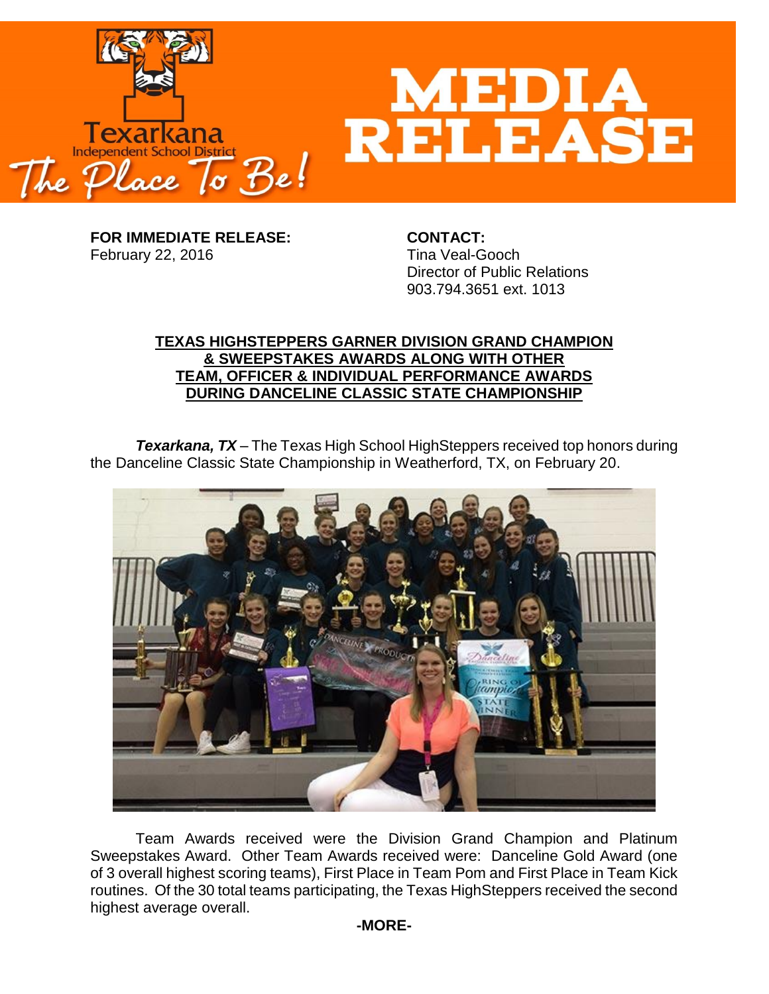

**FOR IMMEDIATE RELEASE: CONTACT:** February 22, 2016 Tina Veal-Gooch

Director of Public Relations 903.794.3651 ext. 1013

## **TEXAS HIGHSTEPPERS GARNER DIVISION GRAND CHAMPION & SWEEPSTAKES AWARDS ALONG WITH OTHER TEAM, OFFICER & INDIVIDUAL PERFORMANCE AWARDS DURING DANCELINE CLASSIC STATE CHAMPIONSHIP**

*Texarkana, TX* – The Texas High School HighSteppers received top honors during the Danceline Classic State Championship in Weatherford, TX, on February 20.



Team Awards received were the Division Grand Champion and Platinum Sweepstakes Award. Other Team Awards received were: Danceline Gold Award (one of 3 overall highest scoring teams), First Place in Team Pom and First Place in Team Kick routines. Of the 30 total teams participating, the Texas HighSteppers received the second highest average overall.